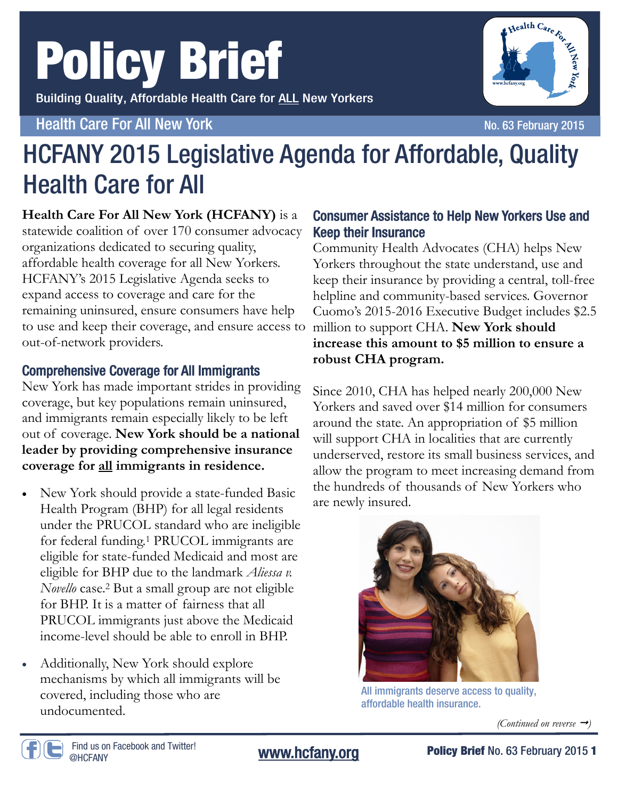# Policy Brief

Building Quality, Affordable Health Care for ALL New Yorkers

#### Health Care For All New York No. 63 February 2015

Health Care For Transfer

### HCFANY 2015 Legislative Agenda for Affordable, Quality Health Care for All

**Health Care For All New York (HCFANY)** is a

statewide coalition of over 170 consumer advocacy organizations dedicated to securing quality, affordable health coverage for all New Yorkers. HCFANY's 2015 Legislative Agenda seeks to expand access to coverage and care for the remaining uninsured, ensure consumers have help to use and keep their coverage, and ensure access to out-of-network providers.

#### Comprehensive Coverage for All Immigrants

New York has made important strides in providing coverage, but key populations remain uninsured, and immigrants remain especially likely to be left out of coverage. **New York should be a national leader by providing comprehensive insurance coverage for all immigrants in residence.**

- New York should provide a state-funded Basic Health Program (BHP) for all legal residents under the PRUCOL standard who are ineligible for federal funding.1 PRUCOL immigrants are eligible for state-funded Medicaid and most are eligible for BHP due to the landmark *Aliessa v. Novello* case.2 But a small group are not eligible for BHP. It is a matter of fairness that all PRUCOL immigrants just above the Medicaid income-level should be able to enroll in BHP.
- Additionally, New York should explore mechanisms by which all immigrants will be covered, including those who are undocumented.

#### Consumer Assistance to Help New Yorkers Use and Keep their Insurance

Community Health Advocates (CHA) helps New Yorkers throughout the state understand, use and keep their insurance by providing a central, toll-free helpline and community-based services. Governor Cuomo's 2015-2016 Executive Budget includes \$2.5 million to support CHA. **New York should increase this amount to \$5 million to ensure a robust CHA program.** 

Since 2010, CHA has helped nearly 200,000 New Yorkers and saved over \$14 million for consumers around the state. An appropriation of \$5 million will support CHA in localities that are currently underserved, restore its small business services, and allow the program to meet increasing demand from the hundreds of thousands of New Yorkers who are newly insured.



All immigrants deserve access to quality, affordable health insurance.

*(Continued on reverse )*